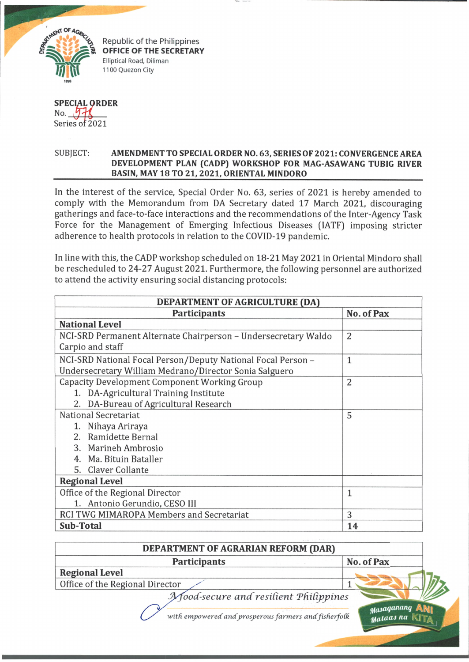

Republic of the Philippines **OFFICE OF THE SECRETARY** Elliptical Road, Diliman 1100 Quezon City

SPECIAL ORDER No.  $\frac{5}{2021}$ 

## SUBJECT: **AMENDMENT TO SPECIAL ORDER NO. 63, SERIES OF 2021: CONVERGENCE AREA DEVELOPMENT PLAN (CADP) WORKSHOP FOR MAG-ASAWANG TUBIG RIVER** BASIN, MAY 18 TO 21, 2021, ORIENTAL MINDORO

In the interest of the service, Special Order No. 63, series of 2021 is hereby amended to comply with the Memorandum from DA Secretary dated 17 March 2021, discouraging gatherings and face-to-face interactions and the recommendations of the Inter-Agency Task Force for the Management of Emerging Infectious Diseases (IATF) imposing stricter adherence to health protocols in relation to the COVID-19 pandemic.

In line with this, the CADP workshop scheduled on 18-21 May 2021 in Oriental Mindoro shall be rescheduled to 24-27 August 2021. Furthermore, the following personnel are authorized to attend the activity ensuring social distancing protocols:

| DEPARTMENT OF AGRICULTURE (DA)                                 |                |
|----------------------------------------------------------------|----------------|
| <b>Participants</b>                                            | No. of Pax     |
| <b>National Level</b>                                          |                |
| NCI-SRD Permanent Alternate Chairperson - Undersecretary Waldo | $\overline{2}$ |
| Carpio and staff                                               |                |
| NCI-SRD National Focal Person/Deputy National Focal Person -   | $\mathbf{1}$   |
| Undersecretary William Medrano/Director Sonia Salguero         |                |
| Capacity Development Component Working Group                   | 2              |
| 1. DA-Agricultural Training Institute                          |                |
| 2. DA-Bureau of Agricultural Research                          |                |
| National Secretariat                                           | 5              |
| 1. Nihaya Ariraya                                              |                |
| 2. Ramidette Bernal                                            |                |
| 3. Marineh Ambrosio                                            |                |
| 4. Ma. Bituin Bataller                                         |                |
| 5. Claver Collante                                             |                |
| <b>Regional Level</b>                                          |                |
| Office of the Regional Director                                | 1              |
| 1. Antonio Gerundio, CESO III                                  |                |
| RCI TWG MIMAROPA Members and Secretariat                       | 3              |
| Sub-Total                                                      | 14             |

| DEPARTMENT OF AGRARIAN REFORM (DAR)                  |                         |
|------------------------------------------------------|-------------------------|
| <b>Participants</b>                                  | No. of Pax              |
| <b>Regional Level</b>                                |                         |
| Office of the Regional Director                      |                         |
| A food-secure and resilient Philippines              |                         |
| with empowered and prosperous farmers and fisherfolk | Masaganang<br>Mataas na |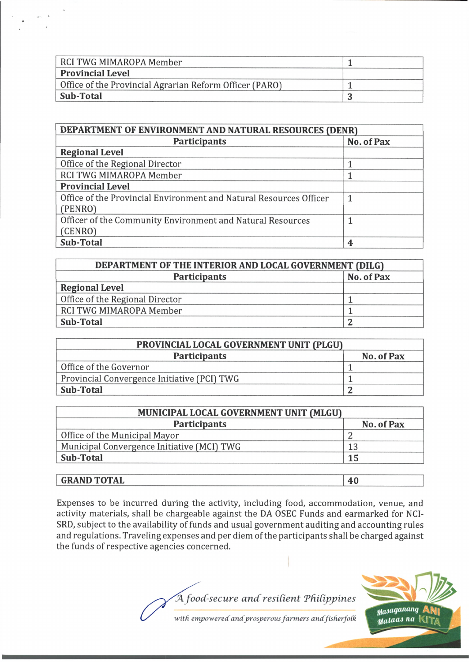| RCI TWG MIMAROPA Member                                 |  |
|---------------------------------------------------------|--|
| <b>Provincial Level</b>                                 |  |
| Office of the Provincial Agrarian Reform Officer (PARO) |  |
| Sub-Total                                               |  |

| DEPARTMENT OF ENVIRONMENT AND NATURAL RESOURCES (DENR)             |            |
|--------------------------------------------------------------------|------------|
| <b>Participants</b>                                                | No. of Pax |
| <b>Regional Level</b>                                              |            |
| Office of the Regional Director                                    |            |
| RCI TWG MIMAROPA Member                                            |            |
| <b>Provincial Level</b>                                            |            |
| Office of the Provincial Environment and Natural Resources Officer | 1          |
| (PENRO)                                                            |            |
| Officer of the Community Environment and Natural Resources         |            |
| (CENRO)                                                            |            |
| <b>Sub-Total</b>                                                   | 4          |

| DEPARTMENT OF THE INTERIOR AND LOCAL GOVERNMENT (DILG) |            |
|--------------------------------------------------------|------------|
| <b>Participants</b>                                    | No. of Pax |
| <b>Regional Level</b>                                  |            |
| Office of the Regional Director                        |            |
| RCI TWG MIMAROPA Member                                |            |
| Sub-Total                                              |            |

| PROVINCIAL LOCAL GOVERNMENT UNIT (PLGU)     |            |
|---------------------------------------------|------------|
| <b>Participants</b>                         | No. of Pax |
| Office of the Governor                      |            |
| Provincial Convergence Initiative (PCI) TWG |            |
| Sub-Total                                   |            |

| <b>Participants</b>                        | No. of Pax |
|--------------------------------------------|------------|
| Office of the Municipal Mayor              |            |
| Municipal Convergence Initiative (MCI) TWG | 13         |
| Sub-Total                                  | 15         |

## **GRAND TOTAL 40**

Expenses to be incurred during the activity, including food, accommodation, venue, and activity materials, shall be chargeable against the DA OSEC Funds and earmarked for NCI-SRD, subject to the availability of funds and usual government auditing and accounting rules and regulations. Traveling expenses and per diem of the participants shall be charged against the funds of respective agencies concerned.

*A food-secure a n d resdient Tfidipjpines*



with empowered and prosperous farmers and fisherfolk